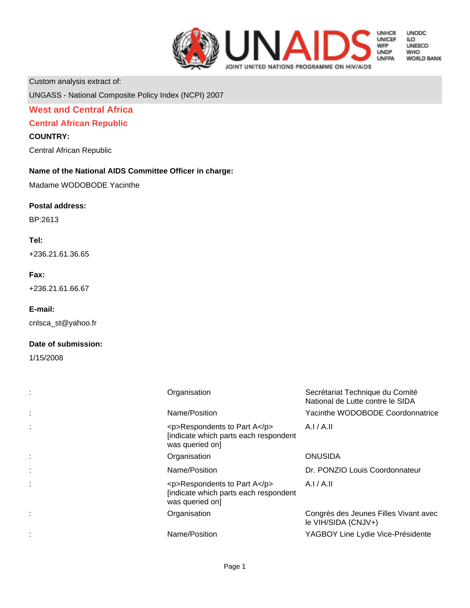

**UNODC** 

LO<br>ILO<br>UNESCO **WHO** 

**WORLD BANK** 

Custom analysis extract of:

UNGASS - National Composite Policy Index (NCPI) 2007

### **West and Central Africa**

### **Central African Republic**

### **COUNTRY:**

Central African Republic

### **Name of the National AIDS Committee Officer in charge:**

Madame WODOBODE Yacinthe

#### **Postal address:**

BP:2613

### **Tel:**

+236.21.61.36.65

#### **Fax:**

+236.21.61.66.67

#### **E-mail:**

cnlsca\_st@yahoo.fr

#### **Date of submission:**

1/15/2008

| Organisation                                                                                    | Secrétariat Technique du Comité<br>National de Lutte contre le SIDA |
|-------------------------------------------------------------------------------------------------|---------------------------------------------------------------------|
| Name/Position                                                                                   | Yacinthe WODOBODE Coordonnatrice                                    |
| $<$ p>Respondents to Part A $<$ /p><br>[indicate which parts each respondent<br>was queried on] | A.I/A.II                                                            |
| Organisation                                                                                    | <b>ONUSIDA</b>                                                      |
| Name/Position                                                                                   | Dr. PONZIO Louis Coordonnateur                                      |
| $<$ p>Respondents to Part A $<$ /p><br>[indicate which parts each respondent<br>was queried on  | A.I/A.II                                                            |
| Organisation                                                                                    | Congrès des Jeunes Filles Vivant avec<br>le VIH/SIDA (CNJV+)        |
| Name/Position                                                                                   | YAGBOY Line Lydie Vice-Présidente                                   |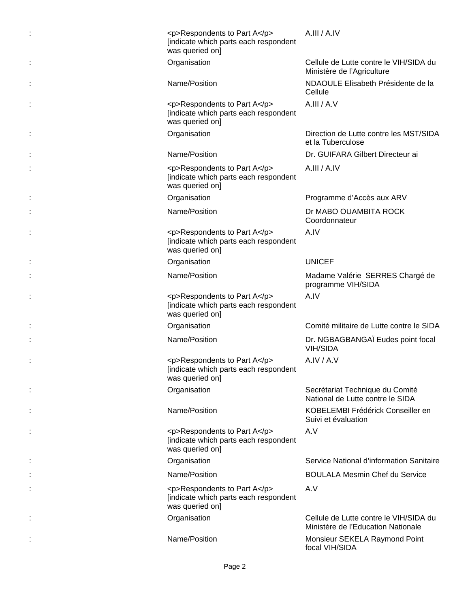| <p>Respondents to Part A</p><br>[indicate which parts each respondent<br>was queried on] | A.III / A.IV                                                                 |
|------------------------------------------------------------------------------------------|------------------------------------------------------------------------------|
| Organisation                                                                             | Cellule de Lutte contre le VIH/SIDA du<br>Ministère de l'Agriculture         |
| Name/Position                                                                            | NDAOULE Elisabeth Présidente de la<br>Cellule                                |
| <p>Respondents to Part A</p><br>[indicate which parts each respondent<br>was queried on] | A.III / A.V                                                                  |
| Organisation                                                                             | Direction de Lutte contre les MST/SIDA<br>et la Tuberculose                  |
| Name/Position                                                                            | Dr. GUIFARA Gilbert Directeur ai                                             |
| <p>Respondents to Part A</p><br>[indicate which parts each respondent<br>was queried on] | A.III / A.IV                                                                 |
| Organisation                                                                             | Programme d'Accès aux ARV                                                    |
| Name/Position                                                                            | Dr MABO OUAMBITA ROCK<br>Coordonnateur                                       |
| <p>Respondents to Part A</p><br>[indicate which parts each respondent<br>was queried on] | A.IV                                                                         |
| Organisation                                                                             | <b>UNICEF</b>                                                                |
| Name/Position                                                                            | Madame Valérie SERRES Chargé de<br>programme VIH/SIDA                        |
| <p>Respondents to Part A</p><br>[indicate which parts each respondent<br>was queried on] | A.IV                                                                         |
| Organisation                                                                             | Comité militaire de Lutte contre le SIDA                                     |
| Name/Position                                                                            | Dr. NGBAGBANGAÏ Eudes point focal<br><b>VIH/SIDA</b>                         |
| <p>Respondents to Part A</p><br>[indicate which parts each respondent<br>was queried on] | A.IV/A.V                                                                     |
| Organisation                                                                             | Secrétariat Technique du Comité<br>National de Lutte contre le SIDA          |
| Name/Position                                                                            | KOBELEMBI Frédérick Conseiller en<br>Suivi et évaluation                     |
| <p>Respondents to Part A</p><br>[indicate which parts each respondent<br>was queried on] | A.V                                                                          |
| Organisation                                                                             | Service National d'information Sanitaire                                     |
| Name/Position                                                                            | <b>BOULALA Mesmin Chef du Service</b>                                        |
| <p>Respondents to Part A</p><br>[indicate which parts each respondent<br>was queried on] | A.V                                                                          |
| Organisation                                                                             | Cellule de Lutte contre le VIH/SIDA du<br>Ministère de l'Education Nationale |
| Name/Position                                                                            | Monsieur SEKELA Raymond Point<br>focal VIH/SIDA                              |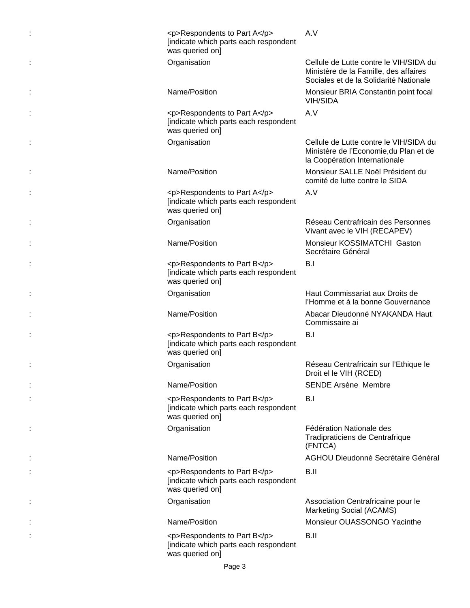| <p>Respondents to Part A</p><br>[indicate which parts each respondent<br>was queried on] | A.V                                                                                                                       |
|------------------------------------------------------------------------------------------|---------------------------------------------------------------------------------------------------------------------------|
| Organisation                                                                             | Cellule de Lutte contre le VIH/SIDA du<br>Ministère de la Famille, des affaires<br>Sociales et de la Solidarité Nationale |
| Name/Position                                                                            | Monsieur BRIA Constantin point focal<br><b>VIH/SIDA</b>                                                                   |
| <p>Respondents to Part A</p><br>[indicate which parts each respondent<br>was queried on] | A.V                                                                                                                       |
| Organisation                                                                             | Cellule de Lutte contre le VIH/SIDA du<br>Ministère de l'Economie, du Plan et de<br>la Coopération Internationale         |
| Name/Position                                                                            | Monsieur SALLE Noël Président du<br>comité de lutte contre le SIDA                                                        |
| <p>Respondents to Part A</p><br>[indicate which parts each respondent<br>was queried on] | A.V                                                                                                                       |
| Organisation                                                                             | Réseau Centrafricain des Personnes<br>Vivant avec le VIH (RECAPEV)                                                        |
| Name/Position                                                                            | Monsieur KOSSIMATCHI Gaston<br>Secrétaire Général                                                                         |
| <p>Respondents to Part B</p><br>[indicate which parts each respondent<br>was queried on] | B.I                                                                                                                       |
| Organisation                                                                             | Haut Commissariat aux Droits de<br>l'Homme et à la bonne Gouvernance                                                      |
| Name/Position                                                                            | Abacar Dieudonné NYAKANDA Haut<br>Commissaire ai                                                                          |
| <p>Respondents to Part B</p><br>[indicate which parts each respondent<br>was queried on] | B.I                                                                                                                       |
| Organisation                                                                             | Réseau Centrafricain sur l'Ethique le<br>Droit el le VIH (RCED)                                                           |
| Name/Position                                                                            | <b>SENDE Arsène Membre</b>                                                                                                |
| <p>Respondents to Part B</p><br>[indicate which parts each respondent<br>was queried on] | B.I                                                                                                                       |
| Organisation                                                                             | Fédération Nationale des<br>Tradipraticiens de Centrafrique<br>(FNTCA)                                                    |
| Name/Position                                                                            | AGHOU Dieudonné Secrétaire Général                                                                                        |
| <p>Respondents to Part B</p><br>[indicate which parts each respondent<br>was queried on] | B.II                                                                                                                      |
| Organisation                                                                             | Association Centrafricaine pour le<br>Marketing Social (ACAMS)                                                            |
| Name/Position                                                                            | Monsieur OUASSONGO Yacinthe                                                                                               |
| <p>Respondents to Part B</p><br>[indicate which parts each respondent<br>was queried on] | B.II                                                                                                                      |
| Page 3                                                                                   |                                                                                                                           |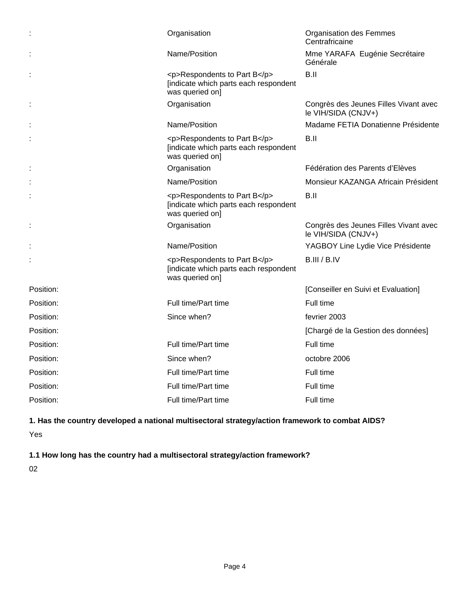|           | Organisation                                                                             | <b>Organisation des Femmes</b><br>Centrafricaine             |
|-----------|------------------------------------------------------------------------------------------|--------------------------------------------------------------|
|           | Name/Position                                                                            | Mme YARAFA Eugénie Secrétaire<br>Générale                    |
|           | <p>Respondents to Part B</p><br>[indicate which parts each respondent<br>was queried on] | B.II                                                         |
|           | Organisation                                                                             | Congrès des Jeunes Filles Vivant avec<br>le VIH/SIDA (CNJV+) |
|           | Name/Position                                                                            | Madame FETIA Donatienne Présidente                           |
|           | <p>Respondents to Part B</p><br>[indicate which parts each respondent<br>was queried on] | B.II                                                         |
|           | Organisation                                                                             | Fédération des Parents d'Elèves                              |
|           | Name/Position                                                                            | Monsieur KAZANGA Africain Président                          |
|           | <p>Respondents to Part B</p><br>[indicate which parts each respondent<br>was queried on] | B.II                                                         |
|           | Organisation                                                                             | Congrès des Jeunes Filles Vivant avec<br>le VIH/SIDA (CNJV+) |
|           | Name/Position                                                                            | YAGBOY Line Lydie Vice Présidente                            |
|           | <p>Respondents to Part B</p><br>[indicate which parts each respondent<br>was queried on] | B.III / B.IV                                                 |
| Position: |                                                                                          | [Conseiller en Suivi et Evaluation]                          |
| Position: | Full time/Part time                                                                      | Full time                                                    |
| Position: | Since when?                                                                              | fevrier 2003                                                 |
| Position: |                                                                                          | [Chargé de la Gestion des données]                           |
| Position: | Full time/Part time                                                                      | Full time                                                    |
| Position: | Since when?                                                                              | octobre 2006                                                 |
| Position: | Full time/Part time                                                                      | Full time                                                    |
| Position: | Full time/Part time                                                                      | Full time                                                    |
| Position: | Full time/Part time                                                                      | Full time                                                    |

# **1. Has the country developed a national multisectoral strategy/action framework to combat AIDS?**

Yes

**1.1 How long has the country had a multisectoral strategy/action framework?**

02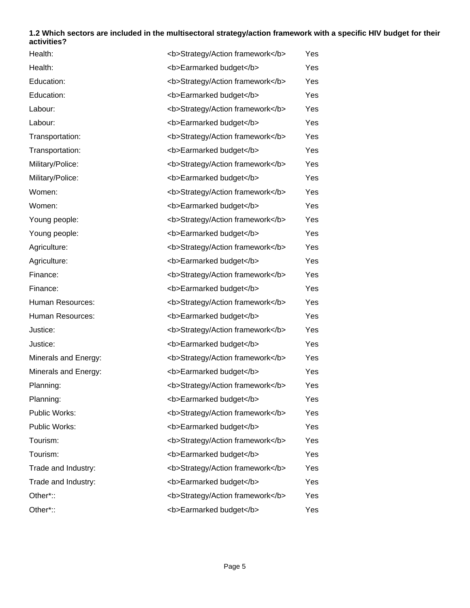### **1.2 Which sectors are included in the multisectoral strategy/action framework with a specific HIV budget for their activities?**

| Health:              | <b>Strategy/Action framework</b> | Yes |
|----------------------|----------------------------------|-----|
| Health:              | <b>Earmarked budget</b>          | Yes |
| Education:           | <b>Strategy/Action framework</b> | Yes |
| Education:           | <b>Earmarked budget</b>          | Yes |
| Labour:              | <b>Strategy/Action framework</b> | Yes |
| Labour:              | <b>Earmarked budget</b>          | Yes |
| Transportation:      | <b>Strategy/Action framework</b> | Yes |
| Transportation:      | <b>Earmarked budget</b>          | Yes |
| Military/Police:     | <b>Strategy/Action framework</b> | Yes |
| Military/Police:     | <b>Earmarked budget</b>          | Yes |
| Women:               | <b>Strategy/Action framework</b> | Yes |
| Women:               | <b>Earmarked budget</b>          | Yes |
| Young people:        | <b>Strategy/Action framework</b> | Yes |
| Young people:        | <b>Earmarked budget</b>          | Yes |
| Agriculture:         | <b>Strategy/Action framework</b> | Yes |
| Agriculture:         | <b>Earmarked budget</b>          | Yes |
| Finance:             | <b>Strategy/Action framework</b> | Yes |
| Finance:             | <b>Earmarked budget</b>          | Yes |
| Human Resources:     | <b>Strategy/Action framework</b> | Yes |
| Human Resources:     | <b>Earmarked budget</b>          | Yes |
| Justice:             | <b>Strategy/Action framework</b> | Yes |
| Justice:             | <b>Earmarked budget</b>          | Yes |
| Minerals and Energy: | <b>Strategy/Action framework</b> | Yes |
| Minerals and Energy: | <b>Earmarked budget</b>          | Yes |
| Planning:            | <b>Strategy/Action framework</b> | Yes |
| Planning:            | <b>Earmarked budget</b>          | Yes |
| Public Works:        | <b>Strategy/Action framework</b> | Yes |
| Public Works:        | <b>Earmarked budget</b>          | Yes |
| Tourism:             | <b>Strategy/Action framework</b> | Yes |
| Tourism:             | <b>Earmarked budget</b>          | Yes |
| Trade and Industry:  | <b>Strategy/Action framework</b> | Yes |
| Trade and Industry:  | <b>Earmarked budget</b>          | Yes |
| Other*::             | <b>Strategy/Action framework</b> | Yes |
| Other*::             | <b>Earmarked budget</b>          | Yes |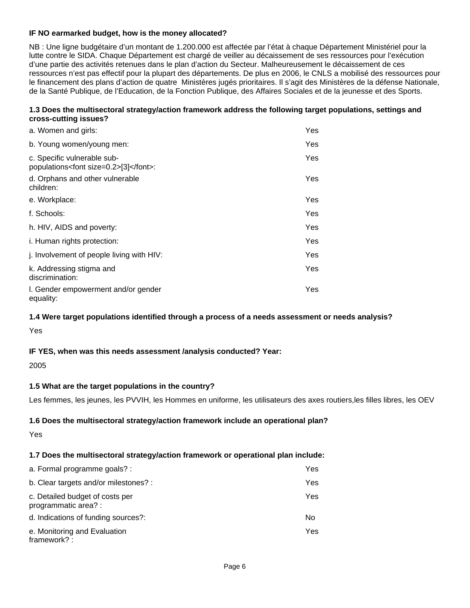### **IF NO earmarked budget, how is the money allocated?**

NB : Une ligne budgétaire d'un montant de 1.200.000 est affectée par l'état à chaque Département Ministériel pour la lutte contre le SIDA. Chaque Département est chargé de veiller au décaissement de ses ressources pour l'exécution d'une partie des activités retenues dans le plan d'action du Secteur. Malheureusement le décaissement de ces ressources n'est pas effectif pour la plupart des départements. De plus en 2006, le CNLS a mobilisé des ressources pour le financement des plans d'action de quatre Ministères jugés prioritaires. Il s'agit des Ministères de la défense Nationale, de la Santé Publique, de l'Education, de la Fonction Publique, des Affaires Sociales et de la jeunesse et des Sports.

### **1.3 Does the multisectoral strategy/action framework address the following target populations, settings and cross-cutting issues?**

| a. Women and girls:                                                      | Yes. |
|--------------------------------------------------------------------------|------|
| b. Young women/young men:                                                | Yes. |
| c. Specific vulnerable sub-<br>populations <font size="0.2">[3]</font> : | Yes. |
| d. Orphans and other vulnerable<br>children:                             | Yes. |
| e. Workplace:                                                            | Yes  |
| f. Schools:                                                              | Yes  |
| h. HIV, AIDS and poverty:                                                | Yes. |
| i. Human rights protection:                                              | Yes. |
| j. Involvement of people living with HIV:                                | Yes. |
| k. Addressing stigma and<br>discrimination:                              | Yes. |
| I. Gender empowerment and/or gender<br>equality:                         | Yes  |

#### **1.4 Were target populations identified through a process of a needs assessment or needs analysis?**

Yes

### **IF YES, when was this needs assessment /analysis conducted? Year:**

2005

### **1.5 What are the target populations in the country?**

Les femmes, les jeunes, les PVVIH, les Hommes en uniforme, les utilisateurs des axes routiers,les filles libres, les OEV

### **1.6 Does the multisectoral strategy/action framework include an operational plan?**

Yes

### **1.7 Does the multisectoral strategy/action framework or operational plan include:**

| a. Formal programme goals? :                            | Yes |
|---------------------------------------------------------|-----|
| b. Clear targets and/or milestones? :                   | Yes |
| c. Detailed budget of costs per<br>programmatic area? : | Yes |
| d. Indications of funding sources?:                     | No. |
| e. Monitoring and Evaluation<br>framework? :            | Yes |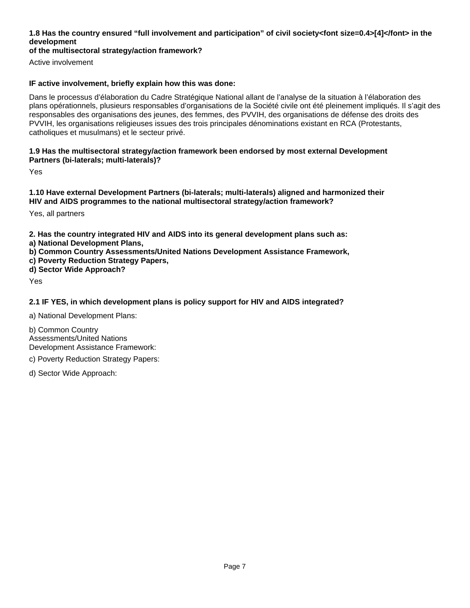### **1.8 Has the country ensured "full involvement and participation" of civil society<font size=0.4>[4]</font> in the development**

### **of the multisectoral strategy/action framework?**

Active involvement

### **IF active involvement, briefly explain how this was done:**

Dans le processus d'élaboration du Cadre Stratégique National allant de l'analyse de la situation à l'élaboration des plans opérationnels, plusieurs responsables d'organisations de la Société civile ont été pleinement impliqués. Il s'agit des responsables des organisations des jeunes, des femmes, des PVVIH, des organisations de défense des droits des PVVIH, les organisations religieuses issues des trois principales dénominations existant en RCA (Protestants, catholiques et musulmans) et le secteur privé.

#### **1.9 Has the multisectoral strategy/action framework been endorsed by most external Development Partners (bi-laterals; multi-laterals)?**

Yes

**1.10 Have external Development Partners (bi-laterals; multi-laterals) aligned and harmonized their HIV and AIDS programmes to the national multisectoral strategy/action framework?**

Yes, all partners

**2. Has the country integrated HIV and AIDS into its general development plans such as:** 

- **a) National Development Plans,**
- **b) Common Country Assessments/United Nations Development Assistance Framework,**
- **c) Poverty Reduction Strategy Papers,**
- **d) Sector Wide Approach?**

Yes

### **2.1 IF YES, in which development plans is policy support for HIV and AIDS integrated?**

a) National Development Plans:

b) Common Country Assessments/United Nations Development Assistance Framework:

c) Poverty Reduction Strategy Papers:

d) Sector Wide Approach: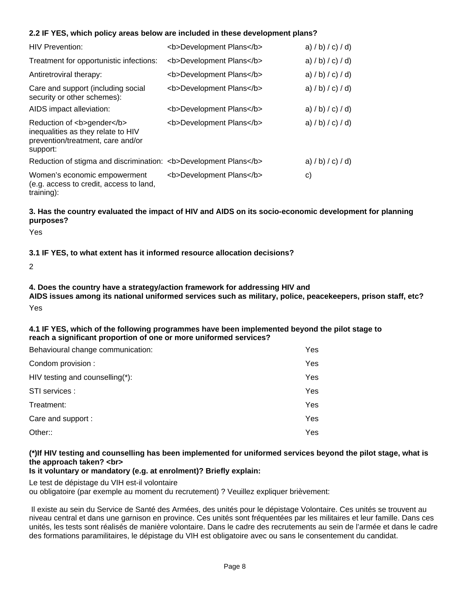### **2.2 IF YES, which policy areas below are included in these development plans?**

| <b>HIV Prevention:</b>                                                                                            | <b>Development Plans</b> | a) $/b$ ) $/c$ ) $/d$ ) |
|-------------------------------------------------------------------------------------------------------------------|--------------------------|-------------------------|
| Treatment for opportunistic infections:                                                                           | <b>Development Plans</b> | a) $/b$ ) $/c$ ) $/d$ ) |
| Antiretroviral therapy:                                                                                           | <b>Development Plans</b> | a) $/b$ ) $/c$ ) $/d$ ) |
| Care and support (including social<br>security or other schemes):                                                 | <b>Development Plans</b> | a) $/b$ ) $/c$ ) $/d$ ) |
| AIDS impact alleviation:                                                                                          | <b>Development Plans</b> | a) $/b$ ) $/c$ ) $/d$ ) |
| Reduction of <b>gender</b><br>inequalities as they relate to HIV<br>prevention/treatment, care and/or<br>support: | <b>Development Plans</b> | a) $/b$ ) $/c$ ) $/d$ ) |
| Reduction of stigma and discrimination: <b>Development Plans</b>                                                  |                          | a) $/b$ ) $/c$ ) $/d$ ) |
| Women's economic empowerment<br>(e.g. access to credit, access to land,<br>$training)$ :                          | <b>Development Plans</b> | C)                      |

### **3. Has the country evaluated the impact of HIV and AIDS on its socio-economic development for planning purposes?**

Yes

### **3.1 IF YES, to what extent has it informed resource allocation decisions?**

2

# **4. Does the country have a strategy/action framework for addressing HIV and**

**AIDS issues among its national uniformed services such as military, police, peacekeepers, prison staff, etc?** Yes

#### **4.1 IF YES, which of the following programmes have been implemented beyond the pilot stage to reach a significant proportion of one or more uniformed services?**

| Behavioural change communication: | Yes |
|-----------------------------------|-----|
| Condom provision:                 | Yes |
| HIV testing and counselling(*):   | Yes |
| STI services :                    | Yes |
| Treatment:                        | Yes |
| Care and support :                | Yes |
| Other::                           | Yes |

### **(\*)If HIV testing and counselling has been implemented for uniformed services beyond the pilot stage, what is the approach taken? <br>**

### **Is it voluntary or mandatory (e.g. at enrolment)? Briefly explain:**

Le test de dépistage du VIH est-il volontaire

ou obligatoire (par exemple au moment du recrutement) ? Veuillez expliquer brièvement:

 Il existe au sein du Service de Santé des Armées, des unités pour le dépistage Volontaire. Ces unités se trouvent au niveau central et dans une garnison en province. Ces unités sont fréquentées par les militaires et leur famille. Dans ces unités, les tests sont réalisés de manière volontaire. Dans le cadre des recrutements au sein de l'armée et dans le cadre des formations paramilitaires, le dépistage du VIH est obligatoire avec ou sans le consentement du candidat.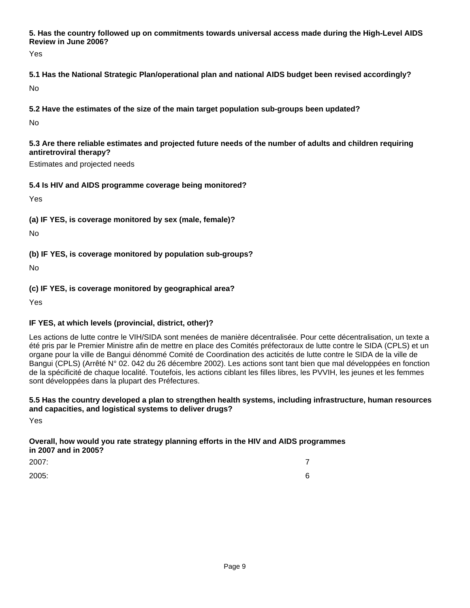**5. Has the country followed up on commitments towards universal access made during the High-Level AIDS Review in June 2006?**

Yes

**5.1 Has the National Strategic Plan/operational plan and national AIDS budget been revised accordingly?** No

**5.2 Have the estimates of the size of the main target population sub-groups been updated?**

No

**5.3 Are there reliable estimates and projected future needs of the number of adults and children requiring antiretroviral therapy?**

Estimates and projected needs

### **5.4 Is HIV and AIDS programme coverage being monitored?**

Yes

**(a) IF YES, is coverage monitored by sex (male, female)?**

No

**(b) IF YES, is coverage monitored by population sub-groups?**

No

**(c) IF YES, is coverage monitored by geographical area?**

Yes

# **IF YES, at which levels (provincial, district, other)?**

Les actions de lutte contre le VIH/SIDA sont menées de manière décentralisée. Pour cette décentralisation, un texte a été pris par le Premier Ministre afin de mettre en place des Comités préfectoraux de lutte contre le SIDA (CPLS) et un organe pour la ville de Bangui dénommé Comité de Coordination des acticités de lutte contre le SIDA de la ville de Bangui (CPLS) (Arrêté N° 02. 042 du 26 décembre 2002). Les actions sont tant bien que mal développées en fonction de la spécificité de chaque localité. Toutefois, les actions ciblant les filles libres, les PVVIH, les jeunes et les femmes sont développées dans la plupart des Préfectures.

### **5.5 Has the country developed a plan to strengthen health systems, including infrastructure, human resources and capacities, and logistical systems to deliver drugs?**

Yes

### **Overall, how would you rate strategy planning efforts in the HIV and AIDS programmes in 2007 and in 2005?**

2007: 7

2005: 6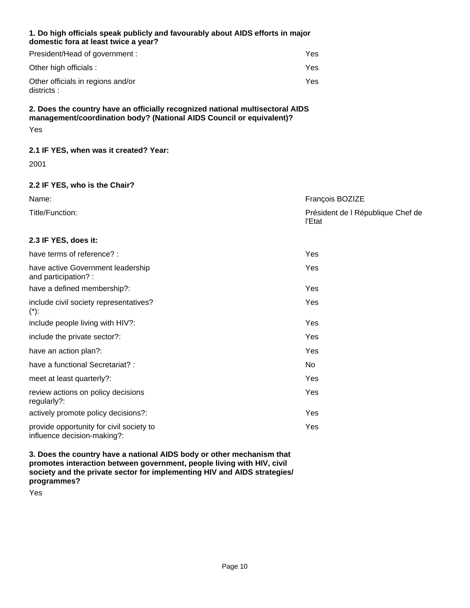### **1. Do high officials speak publicly and favourably about AIDS efforts in major domestic fora at least twice a year?**

| President/Head of government :                  | Yes |
|-------------------------------------------------|-----|
| Other high officials :                          | Yes |
| Other officials in regions and/or<br>districts: | Yes |

### **2. Does the country have an officially recognized national multisectoral AIDS management/coordination body? (National AIDS Council or equivalent)?** Yes

# **2.1 IF YES, when was it created? Year:**

2001

### **2.2 IF YES, who is the Chair?**

| Name:           | François BOZIZE                             |
|-----------------|---------------------------------------------|
| Title/Function: | Président de l République Chef de<br>l'Etat |

### **2.3 IF YES, does it:**

| have terms of reference? :                                              | Yes |
|-------------------------------------------------------------------------|-----|
| have active Government leadership<br>and participation?:                | Yes |
| have a defined membership?:                                             | Yes |
| include civil society representatives?<br>$(*)$ :                       | Yes |
| include people living with HIV?:                                        | Yes |
| include the private sector?:                                            | Yes |
| have an action plan?:                                                   | Yes |
| have a functional Secretariat? :                                        | No  |
| meet at least quarterly?:                                               | Yes |
| review actions on policy decisions<br>regularly?:                       | Yes |
| actively promote policy decisions?:                                     | Yes |
| provide opportunity for civil society to<br>influence decision-making?: | Yes |

**3. Does the country have a national AIDS body or other mechanism that promotes interaction between government, people living with HIV, civil society and the private sector for implementing HIV and AIDS strategies/ programmes?**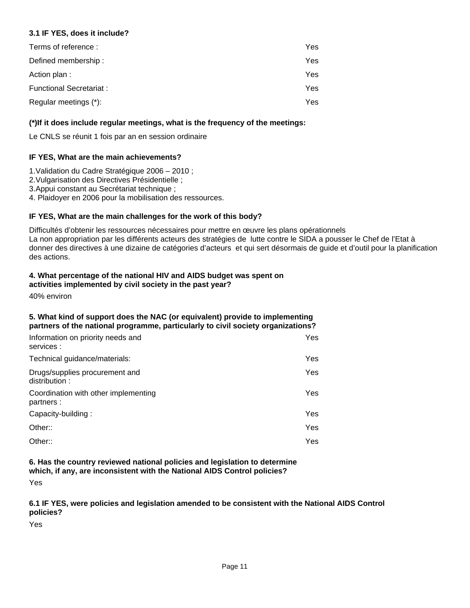### **3.1 IF YES, does it include?**

| Terms of reference:      | Yes. |
|--------------------------|------|
| Defined membership:      | Yes. |
| Action plan :            | Yes. |
| Functional Secretariat : | Yes. |
| Regular meetings (*):    | Yes. |

### **(\*)If it does include regular meetings, what is the frequency of the meetings:**

Le CNLS se réunit 1 fois par an en session ordinaire

### **IF YES, What are the main achievements?**

- 1. Validation du Cadre Stratégique 2006 2010 ;
- 2. Vulgarisation des Directives Présidentielle ;
- 3. Appui constant au Secrétariat technique ;
- 4. Plaidoyer en 2006 pour la mobilisation des ressources.

### **IF YES, What are the main challenges for the work of this body?**

Difficultés d'obtenir les ressources nécessaires pour mettre en œuvre les plans opérationnels La non appropriation par les différents acteurs des stratégies de lutte contre le SIDA a pousser le Chef de l'Etat à donner des directives à une dizaine de catégories d'acteurs et qui sert désormais de guide et d'outil pour la planification des actions.

#### **4. What percentage of the national HIV and AIDS budget was spent on activities implemented by civil society in the past year?**

40% environ

#### **5. What kind of support does the NAC (or equivalent) provide to implementing partners of the national programme, particularly to civil society organizations?**

| Information on priority needs and<br>services:     | Yes  |
|----------------------------------------------------|------|
| Technical guidance/materials:                      | Yes. |
| Drugs/supplies procurement and<br>distribution:    | Yes  |
| Coordination with other implementing<br>partners : | Yes  |
| Capacity-building:                                 | Yes. |
| Other::                                            | Yes  |
| Other::                                            | Yes  |

### **6. Has the country reviewed national policies and legislation to determine which, if any, are inconsistent with the National AIDS Control policies?**

Yes

### **6.1 IF YES, were policies and legislation amended to be consistent with the National AIDS Control policies?**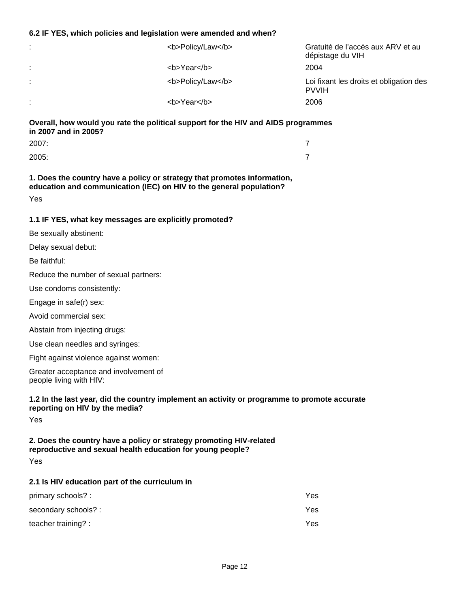#### **6.2 IF YES, which policies and legislation were amended and when?**

| $\sim$            | <b>Policy/Law</b> | Gratuité de l'accès aux ARV et au<br>dépistage du VIH   |
|-------------------|-------------------|---------------------------------------------------------|
| $\sim$<br>$\cdot$ | <b>Year</b>       | 2004                                                    |
| $\mathbf{r}$      | <b>Policy/Law</b> | Loi fixant les droits et obligation des<br><b>PVVIH</b> |
| $\blacksquare$    | <b>Year</b>       | 2006                                                    |

**Overall, how would you rate the political support for the HIV and AIDS programmes in 2007 and in 2005?**

| 2007: |  |
|-------|--|
| 2005: |  |

**1. Does the country have a policy or strategy that promotes information, education and communication (IEC) on HIV to the general population?** Yes

### **1.1 IF YES, what key messages are explicitly promoted?**

Be sexually abstinent:

Delay sexual debut:

Be faithful:

Reduce the number of sexual partners:

Use condoms consistently:

Engage in safe(r) sex:

Avoid commercial sex:

Abstain from injecting drugs:

Use clean needles and syringes:

Fight against violence against women:

Greater acceptance and involvement of people living with HIV:

### **1.2 In the last year, did the country implement an activity or programme to promote accurate reporting on HIV by the media?**

Yes

### **2. Does the country have a policy or strategy promoting HIV-related reproductive and sexual health education for young people?**

Yes

### **2.1 Is HIV education part of the curriculum in**

| primary schools? :  | Yes  |
|---------------------|------|
| secondary schools?: | Yes. |
| teacher training? : | Yes. |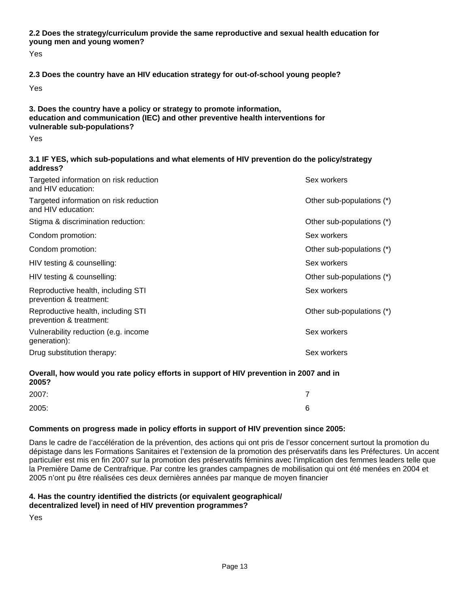**2.2 Does the strategy/curriculum provide the same reproductive and sexual health education for young men and young women?**

Yes

### **2.3 Does the country have an HIV education strategy for out-of-school young people?**

Yes

### **3. Does the country have a policy or strategy to promote information, education and communication (IEC) and other preventive health interventions for vulnerable sub-populations?**

Yes

#### **3.1 IF YES, which sub-populations and what elements of HIV prevention do the policy/strategy address?**

| Targeted information on risk reduction<br>and HIV education:  | Sex workers               |
|---------------------------------------------------------------|---------------------------|
| Targeted information on risk reduction<br>and HIV education:  | Other sub-populations (*) |
| Stigma & discrimination reduction:                            | Other sub-populations (*) |
| Condom promotion:                                             | Sex workers               |
| Condom promotion:                                             | Other sub-populations (*) |
| HIV testing & counselling:                                    | Sex workers               |
| HIV testing & counselling:                                    | Other sub-populations (*) |
| Reproductive health, including STI<br>prevention & treatment: | Sex workers               |
| Reproductive health, including STI<br>prevention & treatment: | Other sub-populations (*) |
| Vulnerability reduction (e.g. income<br>generation):          | Sex workers               |
| Drug substitution therapy:                                    | Sex workers               |

### **Overall, how would you rate policy efforts in support of HIV prevention in 2007 and in 2005?**

| 2007: |   |
|-------|---|
| 2005: | 6 |

### **Comments on progress made in policy efforts in support of HIV prevention since 2005:**

Dans le cadre de l'accélération de la prévention, des actions qui ont pris de l'essor concernent surtout la promotion du dépistage dans les Formations Sanitaires et l'extension de la promotion des préservatifs dans les Préfectures. Un accent particulier est mis en fin 2007 sur la promotion des préservatifs féminins avec l'implication des femmes leaders telle que la Première Dame de Centrafrique. Par contre les grandes campagnes de mobilisation qui ont été menées en 2004 et 2005 n'ont pu être réalisées ces deux dernières années par manque de moyen financier

### **4. Has the country identified the districts (or equivalent geographical/ decentralized level) in need of HIV prevention programmes?**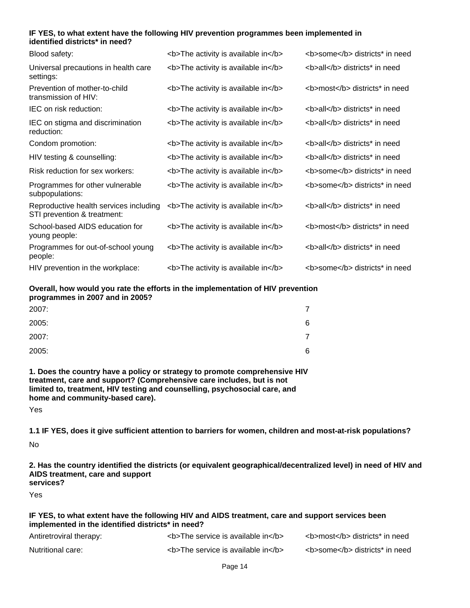### **IF YES, to what extent have the following HIV prevention programmes been implemented in identified districts\* in need?**

| Blood safety:                                                         | <b>The activity is available in</b> | <b>some</b> districts* in need |
|-----------------------------------------------------------------------|-------------------------------------|--------------------------------|
| Universal precautions in health care<br>settings:                     | <b>The activity is available in</b> | <b>all</b> districts* in need  |
| Prevention of mother-to-child<br>transmission of HIV:                 | <b>The activity is available in</b> | <b>most</b> districts* in need |
| IEC on risk reduction:                                                | <b>The activity is available in</b> | <b>all</b> districts* in need  |
| IEC on stigma and discrimination<br>reduction:                        | <b>The activity is available in</b> | <b>all</b> districts* in need  |
| Condom promotion:                                                     | <b>The activity is available in</b> | <b>all</b> districts* in need  |
| HIV testing & counselling:                                            | <b>The activity is available in</b> | <b>all</b> districts* in need  |
| Risk reduction for sex workers:                                       | <b>The activity is available in</b> | <b>some</b> districts* in need |
| Programmes for other vulnerable<br>subpopulations:                    | <b>The activity is available in</b> | <b>some</b> districts* in need |
| Reproductive health services including<br>STI prevention & treatment: | <b>The activity is available in</b> | <b>all</b> districts* in need  |
| School-based AIDS education for<br>young people:                      | <b>The activity is available in</b> | <b>most</b> districts* in need |
| Programmes for out-of-school young<br>people:                         | <b>The activity is available in</b> | <b>all</b> districts* in need  |
| HIV prevention in the workplace:                                      | <b>The activity is available in</b> | <b>some</b> districts* in need |

#### **Overall, how would you rate the efforts in the implementation of HIV prevention programmes in 2007 and in 2005?**

| 2007: |   |
|-------|---|
| 2005: | 6 |
| 2007: | 7 |
| 2005: | 6 |

**1. Does the country have a policy or strategy to promote comprehensive HIV treatment, care and support? (Comprehensive care includes, but is not limited to, treatment, HIV testing and counselling, psychosocial care, and home and community-based care).**

Yes

**1.1 IF YES, does it give sufficient attention to barriers for women, children and most-at-risk populations?** No

**2. Has the country identified the districts (or equivalent geographical/decentralized level) in need of HIV and AIDS treatment, care and support services?**

Yes

#### **IF YES, to what extent have the following HIV and AIDS treatment, care and support services been implemented in the identified districts\* in need?**

| Antiretroviral therapy: | $5$ $6$ $6$ $6$ $7$ $1$ $8$ $1$ $1$ $1$ $1$ $1$ $1$ | <b>most</b> districts* in need |
|-------------------------|-----------------------------------------------------|--------------------------------|
| Nutritional care:       | $5$ $6$ $6$ $6$ $7$ $1$ $8$ $1$ $1$ $1$ $1$ $1$ $1$ | <b>some</b> districts* in need |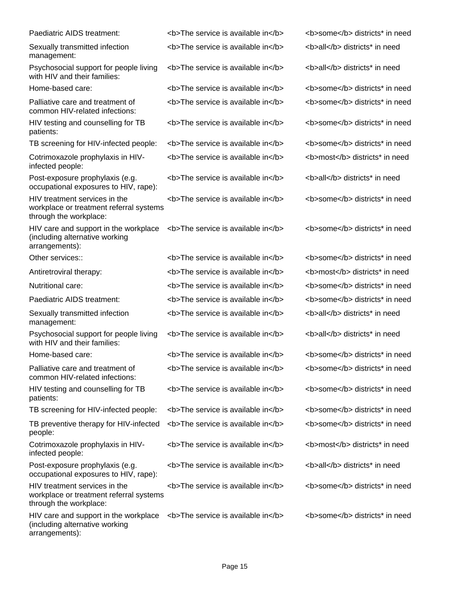| Paediatric AIDS treatment:                                                                         | <b>The service is available in</b> | <b>some</b> districts* in need |
|----------------------------------------------------------------------------------------------------|------------------------------------|--------------------------------|
| Sexually transmitted infection<br>management:                                                      | <b>The service is available in</b> | <b>all</b> districts* in need  |
| Psychosocial support for people living<br>with HIV and their families:                             | <b>The service is available in</b> | <b>all</b> districts* in need  |
| Home-based care:                                                                                   | <b>The service is available in</b> | <b>some</b> districts* in need |
| Palliative care and treatment of<br>common HIV-related infections:                                 | <b>The service is available in</b> | <b>some</b> districts* in need |
| HIV testing and counselling for TB<br>patients:                                                    | <b>The service is available in</b> | <b>some</b> districts* in need |
| TB screening for HIV-infected people:                                                              | <b>The service is available in</b> | <b>some</b> districts* in need |
| Cotrimoxazole prophylaxis in HIV-<br>infected people:                                              | <b>The service is available in</b> | <b>most</b> districts* in need |
| Post-exposure prophylaxis (e.g.<br>occupational exposures to HIV, rape):                           | <b>The service is available in</b> | <b>all</b> districts* in need  |
| HIV treatment services in the<br>workplace or treatment referral systems<br>through the workplace: | <b>The service is available in</b> | <b>some</b> districts* in need |
| HIV care and support in the workplace<br>(including alternative working<br>arrangements):          | <b>The service is available in</b> | <b>some</b> districts* in need |
| Other services::                                                                                   | <b>The service is available in</b> | <b>some</b> districts* in need |
| Antiretroviral therapy:                                                                            | <b>The service is available in</b> | <b>most</b> districts* in need |
| Nutritional care:                                                                                  | <b>The service is available in</b> | <b>some</b> districts* in need |
| Paediatric AIDS treatment:                                                                         | <b>The service is available in</b> | <b>some</b> districts* in need |
| Sexually transmitted infection<br>management:                                                      | <b>The service is available in</b> | <b>all</b> districts* in need  |
| Psychosocial support for people living<br>with HIV and their families:                             | <b>The service is available in</b> | <b>all</b> districts* in need  |
| Home-based care:                                                                                   | <b>The service is available in</b> | <b>some</b> districts* in need |
| Palliative care and treatment of<br>common HIV-related infections:                                 | <b>The service is available in</b> | <b>some</b> districts* in need |
| HIV testing and counselling for TB<br>patients:                                                    | <b>The service is available in</b> | <b>some</b> districts* in need |
| TB screening for HIV-infected people:                                                              | <b>The service is available in</b> | <b>some</b> districts* in need |
| TB preventive therapy for HIV-infected<br>people:                                                  | <b>The service is available in</b> | <b>some</b> districts* in need |
| Cotrimoxazole prophylaxis in HIV-<br>infected people:                                              | <b>The service is available in</b> | <b>most</b> districts* in need |
| Post-exposure prophylaxis (e.g.<br>occupational exposures to HIV, rape):                           | <b>The service is available in</b> | <b>all</b> districts* in need  |
| HIV treatment services in the<br>workplace or treatment referral systems<br>through the workplace: | <b>The service is available in</b> | <b>some</b> districts* in need |
| HIV care and support in the workplace<br>(including alternative working                            | <b>The service is available in</b> | <b>some</b> districts* in need |

arrangements):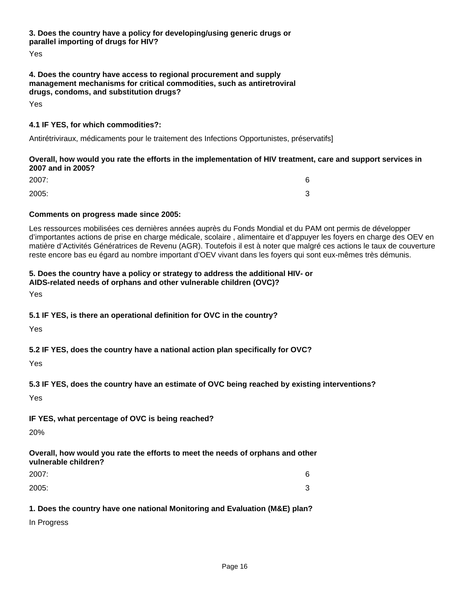**3. Does the country have a policy for developing/using generic drugs or parallel importing of drugs for HIV?**

Yes

### **4. Does the country have access to regional procurement and supply management mechanisms for critical commodities, such as antiretroviral drugs, condoms, and substitution drugs?**

Yes

### **4.1 IF YES, for which commodities?:**

Antirétriviraux, médicaments pour le traitement des Infections Opportunistes, préservatifs]

### **Overall, how would you rate the efforts in the implementation of HIV treatment, care and support services in 2007 and in 2005?**

| 2007: | 6 |
|-------|---|
| 2005: | 3 |

### **Comments on progress made since 2005:**

Les ressources mobilisées ces dernières années auprès du Fonds Mondial et du PAM ont permis de développer d'importantes actions de prise en charge médicale, scolaire , alimentaire et d'appuyer les foyers en charge des OEV en matière d'Activités Génératrices de Revenu (AGR). Toutefois il est à noter que malgré ces actions le taux de couverture reste encore bas eu égard au nombre important d'OEV vivant dans les foyers qui sont eux-mêmes très démunis.

# **5. Does the country have a policy or strategy to address the additional HIV- or**

**AIDS-related needs of orphans and other vulnerable children (OVC)?**

Yes

**5.1 IF YES, is there an operational definition for OVC in the country?**

Yes

### **5.2 IF YES, does the country have a national action plan specifically for OVC?**

Yes

### **5.3 IF YES, does the country have an estimate of OVC being reached by existing interventions?**

Yes

# **IF YES, what percentage of OVC is being reached?**

20%

### **Overall, how would you rate the efforts to meet the needs of orphans and other vulnerable children?**

| 2007: | 6      |
|-------|--------|
| 2005: | ົ<br>د |

# **1. Does the country have one national Monitoring and Evaluation (M&E) plan?**

In Progress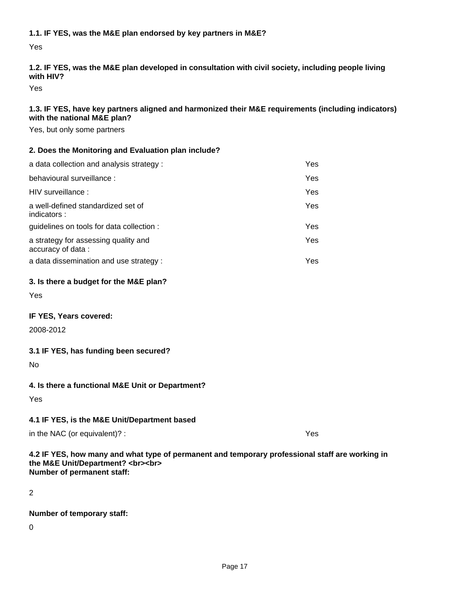**1.1. IF YES, was the M&E plan endorsed by key partners in M&E?**

Yes

### **1.2. IF YES, was the M&E plan developed in consultation with civil society, including people living with HIV?**

Yes

### **1.3. IF YES, have key partners aligned and harmonized their M&E requirements (including indicators) with the national M&E plan?**

Yes, but only some partners

### **2. Does the Monitoring and Evaluation plan include?**

| a data collection and analysis strategy :                 | Yes.       |
|-----------------------------------------------------------|------------|
| behavioural surveillance :                                | <b>Yes</b> |
| HIV surveillance :                                        | <b>Yes</b> |
| a well-defined standardized set of<br>indicators:         | Yes.       |
| guidelines on tools for data collection :                 | Yes.       |
| a strategy for assessing quality and<br>accuracy of data: | Yes.       |
| a data dissemination and use strategy :                   | Yes        |

### **3. Is there a budget for the M&E plan?**

Yes

### **IF YES, Years covered:**

2008-2012

### **3.1 IF YES, has funding been secured?**

No

# **4. Is there a functional M&E Unit or Department?**

Yes

### **4.1 IF YES, is the M&E Unit/Department based**

in the NAC (or equivalent)? : Yes

### **4.2 IF YES, how many and what type of permanent and temporary professional staff are working in the M&E Unit/Department? <br><br> Number of permanent staff:**

2

### **Number of temporary staff:**

0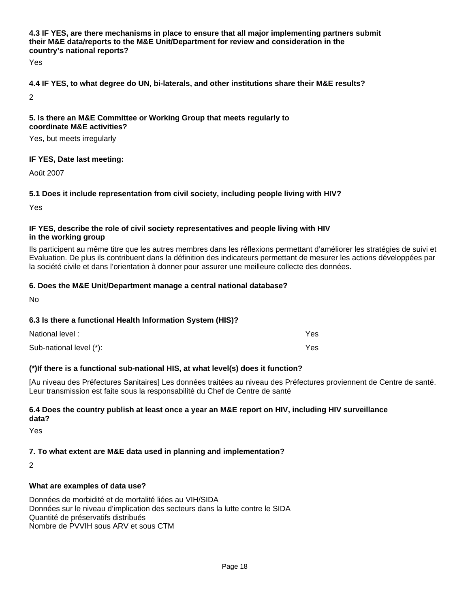### **4.3 IF YES, are there mechanisms in place to ensure that all major implementing partners submit their M&E data/reports to the M&E Unit/Department for review and consideration in the country's national reports?**

Yes

### **4.4 IF YES, to what degree do UN, bi-laterals, and other institutions share their M&E results?**

2

#### **5. Is there an M&E Committee or Working Group that meets regularly to coordinate M&E activities?**

Yes, but meets irregularly

### **IF YES, Date last meeting:**

Août 2007

### **5.1 Does it include representation from civil society, including people living with HIV?**

Yes

#### **IF YES, describe the role of civil society representatives and people living with HIV in the working group**

Ils participent au même titre que les autres membres dans les réflexions permettant d'améliorer les stratégies de suivi et Evaluation. De plus ils contribuent dans la définition des indicateurs permettant de mesurer les actions développées par la société civile et dans l'orientation à donner pour assurer une meilleure collecte des données.

### **6. Does the M&E Unit/Department manage a central national database?**

No

### **6.3 Is there a functional Health Information System (HIS)?**

| National level:         | Yes |
|-------------------------|-----|
| Sub-national level (*): | Yes |

### **(\*)If there is a functional sub-national HIS, at what level(s) does it function?**

[Au niveau des Préfectures Sanitaires] Les données traitées au niveau des Préfectures proviennent de Centre de santé. Leur transmission est faite sous la responsabilité du Chef de Centre de santé

### **6.4 Does the country publish at least once a year an M&E report on HIV, including HIV surveillance data?**

Yes

### **7. To what extent are M&E data used in planning and implementation?**

 $\mathcal{D}$ 

### **What are examples of data use?**

Données de morbidité et de mortalité liées au VIH/SIDA Données sur le niveau d'implication des secteurs dans la lutte contre le SIDA Quantité de préservatifs distribués Nombre de PVVIH sous ARV et sous CTM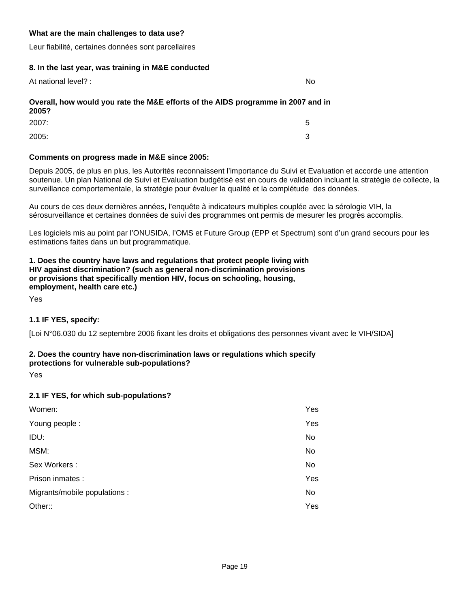### **What are the main challenges to data use?**

Leur fiabilité, certaines données sont parcellaires

#### **8. In the last year, was training in M&E conducted**

| At national level? : | No |
|----------------------|----|
|----------------------|----|

# **Overall, how would you rate the M&E efforts of the AIDS programme in 2007 and in 2005?**

| 2007: | 5 |
|-------|---|
| 2005: | 3 |

### **Comments on progress made in M&E since 2005:**

Depuis 2005, de plus en plus, les Autorités reconnaissent l'importance du Suivi et Evaluation et accorde une attention soutenue. Un plan National de Suivi et Evaluation budgétisé est en cours de validation incluant la stratégie de collecte, la surveillance comportementale, la stratégie pour évaluer la qualité et la complétude des données.

Au cours de ces deux dernières années, l'enquête à indicateurs multiples couplée avec la sérologie VIH, la sérosurveillance et certaines données de suivi des programmes ont permis de mesurer les progrès accomplis.

Les logiciels mis au point par l'ONUSIDA, l'OMS et Future Group (EPP et Spectrum) sont d'un grand secours pour les estimations faites dans un but programmatique.

### **1. Does the country have laws and regulations that protect people living with HIV against discrimination? (such as general non-discrimination provisions or provisions that specifically mention HIV, focus on schooling, housing, employment, health care etc.)**

Yes

### **1.1 IF YES, specify:**

[Loi N°06.030 du 12 septembre 2006 fixant les droits et obligations des personnes vivant avec le VIH/SIDA]

### **2. Does the country have non-discrimination laws or regulations which specify protections for vulnerable sub-populations?**

Yes

### **2.1 IF YES, for which sub-populations?**

| Women:                        | Yes |
|-------------------------------|-----|
| Young people :                | Yes |
| IDU:                          | No  |
| MSM:                          | No  |
| Sex Workers:                  | No  |
| Prison inmates :              | Yes |
| Migrants/mobile populations : | No  |
| Other::                       | Yes |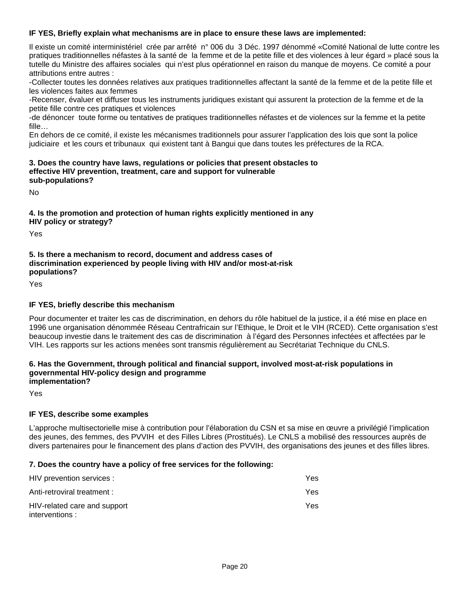### **IF YES, Briefly explain what mechanisms are in place to ensure these laws are implemented:**

Il existe un comité interministériel crée par arrêté n° 006 du 3 Déc. 1997 dénommé «Comité National de lutte contre les pratiques traditionnelles néfastes à la santé de la femme et de la petite fille et des violences à leur égard » placé sous la tutelle du Ministre des affaires sociales qui n'est plus opérationnel en raison du manque de moyens. Ce comité a pour attributions entre autres :

- Collecter toutes les données relatives aux pratiques traditionnelles affectant la santé de la femme et de la petite fille et les violences faites aux femmes

- Recenser, évaluer et diffuser tous les instruments juridiques existant qui assurent la protection de la femme et de la petite fille contre ces pratiques et violences

- de dénoncer toute forme ou tentatives de pratiques traditionnelles néfastes et de violences sur la femme et la petite fille…

En dehors de ce comité, il existe les mécanismes traditionnels pour assurer l'application des lois que sont la police judiciaire et les cours et tribunaux qui existent tant à Bangui que dans toutes les préfectures de la RCA.

#### **3. Does the country have laws, regulations or policies that present obstacles to effective HIV prevention, treatment, care and support for vulnerable sub-populations?**

No

### **4. Is the promotion and protection of human rights explicitly mentioned in any HIV policy or strategy?**

Yes

### **5. Is there a mechanism to record, document and address cases of discrimination experienced by people living with HIV and/or most-at-risk populations?**

Yes

### **IF YES, briefly describe this mechanism**

Pour documenter et traiter les cas de discrimination, en dehors du rôle habituel de la justice, il a été mise en place en 1996 une organisation dénommée Réseau Centrafricain sur l'Ethique, le Droit et le VIH (RCED). Cette organisation s'est beaucoup investie dans le traitement des cas de discrimination à l'égard des Personnes infectées et affectées par le VIH. Les rapports sur les actions menées sont transmis régulièrement au Secrétariat Technique du CNLS.

#### **6. Has the Government, through political and financial support, involved most-at-risk populations in governmental HIV-policy design and programme implementation?**

Yes

#### **IF YES, describe some examples**

L'approche multisectorielle mise à contribution pour l'élaboration du CSN et sa mise en œuvre a privilégié l'implication des jeunes, des femmes, des PVVIH et des Filles Libres (Prostitués). Le CNLS a mobilisé des ressources auprès de divers partenaires pour le financement des plans d'action des PVVIH, des organisations des jeunes et des filles libres.

#### **7. Does the country have a policy of free services for the following:**

| HIV prevention services :                      | Yes: |
|------------------------------------------------|------|
| Anti-retroviral treatment :                    | Yes. |
| HIV-related care and support<br>interventions: | Yes. |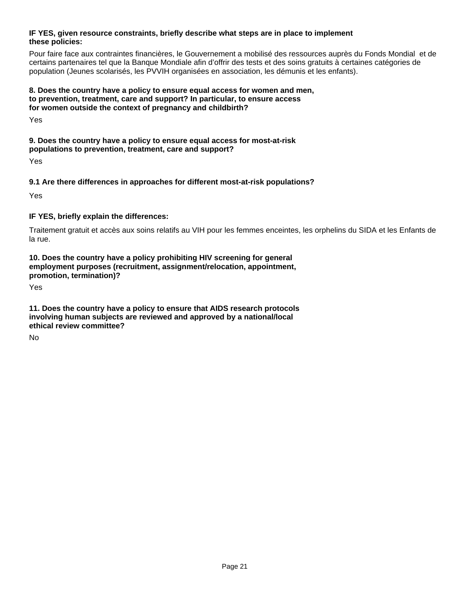### **IF YES, given resource constraints, briefly describe what steps are in place to implement these policies:**

Pour faire face aux contraintes financières, le Gouvernement a mobilisé des ressources auprès du Fonds Mondial et de certains partenaires tel que la Banque Mondiale afin d'offrir des tests et des soins gratuits à certaines catégories de population (Jeunes scolarisés, les PVVIH organisées en association, les démunis et les enfants).

### **8. Does the country have a policy to ensure equal access for women and men, to prevention, treatment, care and support? In particular, to ensure access for women outside the context of pregnancy and childbirth?**

Yes

**9. Does the country have a policy to ensure equal access for most-at-risk populations to prevention, treatment, care and support?**

Yes

### **9.1 Are there differences in approaches for different most-at-risk populations?**

Yes

### **IF YES, briefly explain the differences:**

Traitement gratuit et accès aux soins relatifs au VIH pour les femmes enceintes, les orphelins du SIDA et les Enfants de la rue.

### **10. Does the country have a policy prohibiting HIV screening for general employment purposes (recruitment, assignment/relocation, appointment, promotion, termination)?**

Yes

**11. Does the country have a policy to ensure that AIDS research protocols involving human subjects are reviewed and approved by a national/local ethical review committee?**

No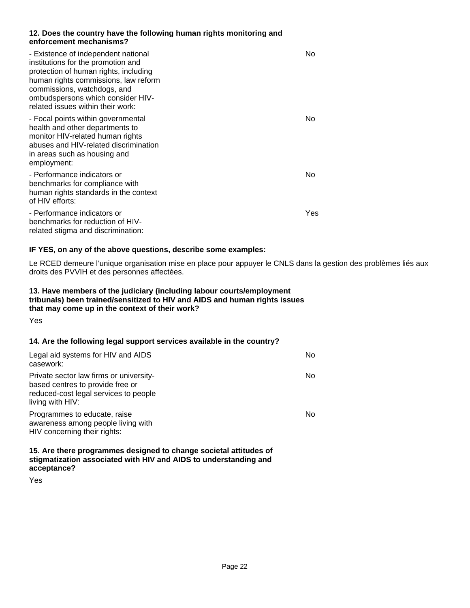### **12. Does the country have the following human rights monitoring and enforcement mechanisms?**

| - Existence of independent national<br>institutions for the promotion and<br>protection of human rights, including<br>human rights commissions, law reform<br>commissions, watchdogs, and<br>ombudspersons which consider HIV-<br>related issues within their work: | No  |
|---------------------------------------------------------------------------------------------------------------------------------------------------------------------------------------------------------------------------------------------------------------------|-----|
| - Focal points within governmental<br>health and other departments to<br>monitor HIV-related human rights<br>abuses and HIV-related discrimination<br>in areas such as housing and<br>employment:                                                                   | No  |
| - Performance indicators or<br>benchmarks for compliance with<br>human rights standards in the context<br>of HIV efforts:                                                                                                                                           | No  |
| - Performance indicators or<br>benchmarks for reduction of HIV-<br>related stigma and discrimination:                                                                                                                                                               | Yes |

### **IF YES, on any of the above questions, describe some examples:**

Le RCED demeure l'unique organisation mise en place pour appuyer le CNLS dans la gestion des problèmes liés aux droits des PVVIH et des personnes affectées.

### **13. Have members of the judiciary (including labour courts/employment tribunals) been trained/sensitized to HIV and AIDS and human rights issues that may come up in the context of their work?**

Yes

### **14. Are the following legal support services available in the country?**

| Legal aid systems for HIV and AIDS<br>casework:                                                                                          | No. |
|------------------------------------------------------------------------------------------------------------------------------------------|-----|
| Private sector law firms or university-<br>based centres to provide free or<br>reduced-cost legal services to people<br>living with HIV: | No. |
| Programmes to educate, raise<br>awareness among people living with<br>HIV concerning their rights:                                       | No. |

**15. Are there programmes designed to change societal attitudes of stigmatization associated with HIV and AIDS to understanding and acceptance?**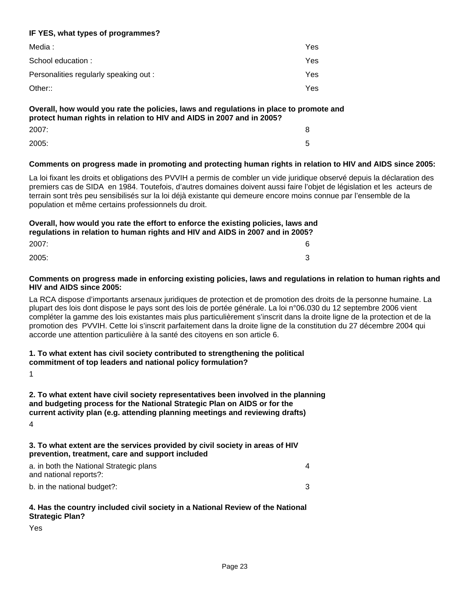### **IF YES, what types of programmes?**

| Media :                                | Yes  |
|----------------------------------------|------|
| School education :                     | Yes. |
| Personalities regularly speaking out : | Yes  |
| Other::                                | Yes. |

# **Overall, how would you rate the policies, laws and regulations in place to promote and protect human rights in relation to HIV and AIDS in 2007 and in 2005?**

| 2007: | 8 |
|-------|---|
| 2005: | 5 |

### **Comments on progress made in promoting and protecting human rights in relation to HIV and AIDS since 2005:**

La loi fixant les droits et obligations des PVVIH a permis de combler un vide juridique observé depuis la déclaration des premiers cas de SIDA en 1984. Toutefois, d'autres domaines doivent aussi faire l'objet de législation et les acteurs de terrain sont très peu sensibilisés sur la loi déjà existante qui demeure encore moins connue par l'ensemble de la population et même certains professionnels du droit.

### **Overall, how would you rate the effort to enforce the existing policies, laws and regulations in relation to human rights and HIV and AIDS in 2007 and in 2005?**

| 2007: | ิค<br>u |
|-------|---------|
| 2005: | ⌒<br>ັ  |

#### **Comments on progress made in enforcing existing policies, laws and regulations in relation to human rights and HIV and AIDS since 2005:**

La RCA dispose d'importants arsenaux juridiques de protection et de promotion des droits de la personne humaine. La plupart des lois dont dispose le pays sont des lois de portée générale. La loi n°06.030 du 12 septembre 2006 vient compléter la gamme des lois existantes mais plus particulièrement s'inscrit dans la droite ligne de la protection et de la promotion des PVVIH. Cette loi s'inscrit parfaitement dans la droite ligne de la constitution du 27 décembre 2004 qui accorde une attention particulière à la santé des citoyens en son article 6.

# **1. To what extent has civil society contributed to strengthening the political**

### **commitment of top leaders and national policy formulation?**

1

### **2. To what extent have civil society representatives been involved in the planning and budgeting process for the National Strategic Plan on AIDS or for the current activity plan (e.g. attending planning meetings and reviewing drafts)**

4

### **3. To what extent are the services provided by civil society in areas of HIV prevention, treatment, care and support included**

| a. in both the National Strategic plans<br>and national reports?: |  |
|-------------------------------------------------------------------|--|
| b. in the national budget?:                                       |  |

### **4. Has the country included civil society in a National Review of the National Strategic Plan?**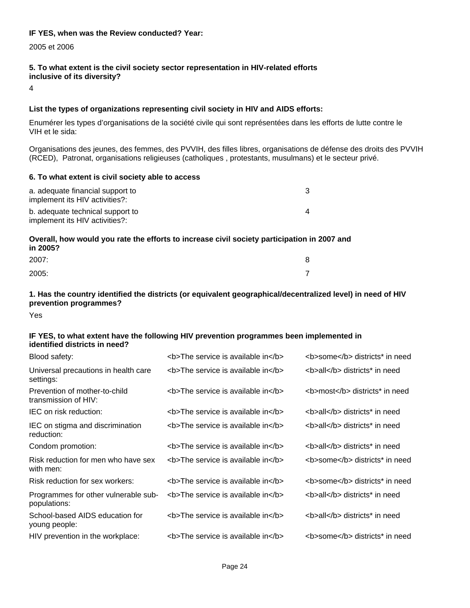#### **IF YES, when was the Review conducted? Year:**

2005 et 2006

#### **5. To what extent is the civil society sector representation in HIV-related efforts inclusive of its diversity?**

4

### **List the types of organizations representing civil society in HIV and AIDS efforts:**

Enumérer les types d'organisations de la société civile qui sont représentées dans les efforts de lutte contre le VIH et le sida:

 Organisations des jeunes, des femmes, des PVVIH, des filles libres, organisations de défense des droits des PVVIH (RCED), Patronat, organisations religieuses (catholiques , protestants, musulmans) et le secteur privé.

#### **6. To what extent is civil society able to access**

| a. adequate financial support to<br>implement its HIV activities?: |  |
|--------------------------------------------------------------------|--|
| b. adequate technical support to<br>implement its HIV activities?: |  |

### **Overall, how would you rate the efforts to increase civil society participation in 2007 and in 2005?**

| 2007: | c |
|-------|---|
| 2005: |   |

### **1. Has the country identified the districts (or equivalent geographical/decentralized level) in need of HIV prevention programmes?**

Yes

#### **IF YES, to what extent have the following HIV prevention programmes been implemented in identified districts in need?**

| Blood safety:                                         | <b>The service is available in</b> | <b>some</b> districts* in need |
|-------------------------------------------------------|------------------------------------|--------------------------------|
| Universal precautions in health care<br>settings:     | <b>The service is available in</b> | <b>all</b> districts* in need  |
| Prevention of mother-to-child<br>transmission of HIV: | <b>The service is available in</b> | <b>most</b> districts* in need |
| IEC on risk reduction:                                | <b>The service is available in</b> | <b>all</b> districts* in need  |
| IEC on stigma and discrimination<br>reduction:        | <b>The service is available in</b> | <b>all</b> districts* in need  |
| Condom promotion:                                     | <b>The service is available in</b> | <b>all</b> districts* in need  |
| Risk reduction for men who have sex<br>with men:      | <b>The service is available in</b> | <b>some</b> districts* in need |
| Risk reduction for sex workers:                       | <b>The service is available in</b> | <b>some</b> districts* in need |
| Programmes for other vulnerable sub-<br>populations:  | <b>The service is available in</b> | <b>all</b> districts* in need  |
| School-based AIDS education for<br>young people:      | <b>The service is available in</b> | <b>all</b> districts* in need  |
| HIV prevention in the workplace:                      | <b>The service is available in</b> | <b>some</b> districts* in need |